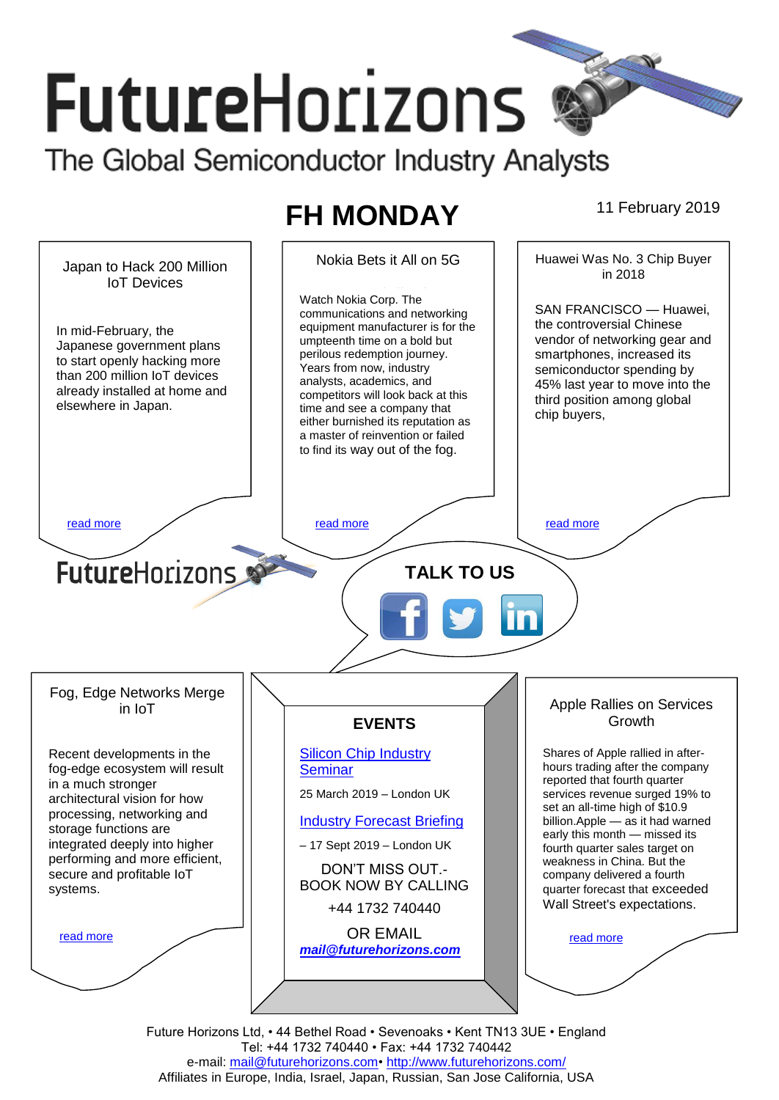# **FutureHorizons** The Global Semiconductor Industry Analysts

# **FH MONDAY** 11 February 2019



Future Horizons Ltd, • 44 Bethel Road • Sevenoaks • Kent TN13 3UE • England Tel: +44 1732 740440 • Fax: +44 1732 740442 e-mail: mail@futurehorizons.com• http://www.futurehorizons.com/ Affiliates in Europe, India, Israel, Japan, Russian, San Jose California, USA